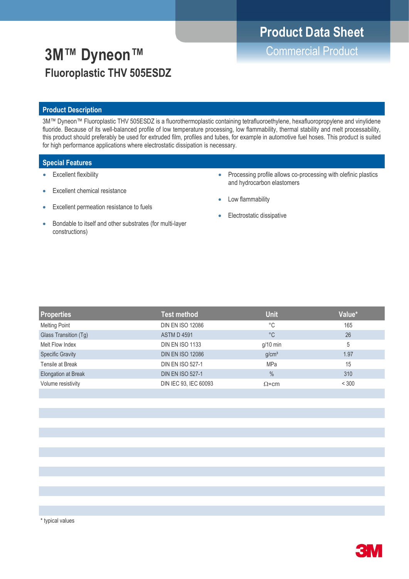# **Product Data Sheet**

**3M™ Dyneon™** Commercial Product **Fluoroplastic THV 505ESDZ**

# **Product Description**

3M™ Dyneon™ Fluoroplastic THV 505ESDZ is a fluorothermoplastic containing tetrafluoroethylene, hexafluoropropylene and vinylidene fluoride. Because of its well-balanced profile of low temperature processing, low flammability, thermal stability and melt processability, this product should preferably be used for extruded film, profiles and tubes, for example in automotive fuel hoses. This product is suited for high performance applications where electrostatic dissipation is necessary.

# **Special Features**

- Excellent flexibility
- **Excellent chemical resistance**
- Excellent permeation resistance to fuels
- Bondable to itself and other substrates (for multi-layer constructions)
- Processing profile allows co-processing with olefinic plastics and hydrocarbon elastomers
- Low flammability
- Electrostatic dissipative

| <b>Properties</b>       | <b>Test method</b>      | <b>Unit</b>       | Value* |
|-------------------------|-------------------------|-------------------|--------|
| <b>Melting Point</b>    | <b>DIN EN ISO 12086</b> | °C                | 165    |
| Glass Transition (Tg)   | <b>ASTM D 4591</b>      | °C                | 26     |
| Melt Flow Index         | <b>DIN EN ISO 1133</b>  | $g/10$ min        | 5      |
| <b>Specific Gravity</b> | <b>DIN EN ISO 12086</b> | g/cm <sup>3</sup> | 1.97   |
| Tensile at Break        | <b>DIN EN ISO 527-1</b> | <b>MPa</b>        | 15     |
| Elongation at Break     | <b>DIN EN ISO 527-1</b> | $\%$              | 310    |
| Volume resistivity      | DIN IEC 93, IEC 60093   | $\Omega$ *cm      | < 300  |
|                         |                         |                   |        |

\* typical values

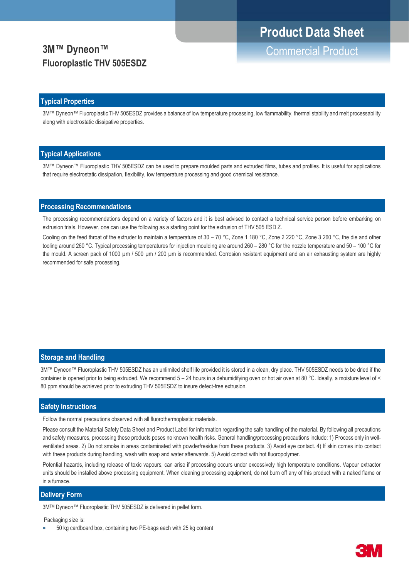# **3M™ Dyneon™** Commercial Product **Fluoroplastic THV 505ESDZ**

### **Typical Properties**

3M™ Dyneon™ Fluoroplastic THV 505ESDZ provides a balance of low temperature processing, low flammability, thermal stability and melt processability along with electrostatic dissipative properties.

#### **Typical Applications**

3M™ Dyneon™ Fluoroplastic THV 505ESDZ can be used to prepare moulded parts and extruded films, tubes and profiles. It is useful for applications that require electrostatic dissipation, flexibility, low temperature processing and good chemical resistance.

#### **Processing Recommendations**

The processing recommendations depend on a variety of factors and it is best advised to contact a technical service person before embarking on extrusion trials. However, one can use the following as a starting point for the extrusion of THV 505 ESD Z.

Cooling on the feed throat of the extruder to maintain a temperature of 30 – 70 °C, Zone 1 180 °C, Zone 2 220 °C, Zone 3 260 °C, the die and other tooling around 260 °C. Typical processing temperatures for injection moulding are around 260 – 280 °C for the nozzle temperature and 50 – 100 °C for the mould. A screen pack of 1000 μm / 500 μm / 200 μm is recommended. Corrosion resistant equipment and an air exhausting system are highly recommended for safe processing.

### **Storage and Handling**

3M™ Dyneon™ Fluoroplastic THV 505ESDZ has an unlimited shelf life provided it is stored in a clean, dry place. THV 505ESDZ needs to be dried if the container is opened prior to being extruded. We recommend 5 – 24 hours in a dehumidifying oven or hot air oven at 80 °C. Ideally, a moisture level of < 80 ppm should be achieved prior to extruding THV 505ESDZ to insure defect-free extrusion.

#### **Safety Instructions**

Follow the normal precautions observed with all fluorothermoplastic materials.

Please consult the Material Safety Data Sheet and Product Label for information regarding the safe handling of the material. By following all precautions and safety measures, processing these products poses no known health risks. General handling/processing precautions include: 1) Process only in wellventilated areas. 2) Do not smoke in areas contaminated with powder/residue from these products. 3) Avoid eye contact. 4) If skin comes into contact with these products during handling, wash with soap and water afterwards. 5) Avoid contact with hot fluoropolymer.

Potential hazards, including release of toxic vapours, can arise if processing occurs under excessively high temperature conditions. Vapour extractor units should be installed above processing equipment. When cleaning processing equipment, do not burn off any of this product with a naked flame or in a furnace.

#### **Delivery Form**

3MTM Dyneon™ Fluoroplastic THV 505ESDZ is delivered in pellet form.

Packaging size is:

• 50 kg cardboard box, containing two PE-bags each with 25 kg content